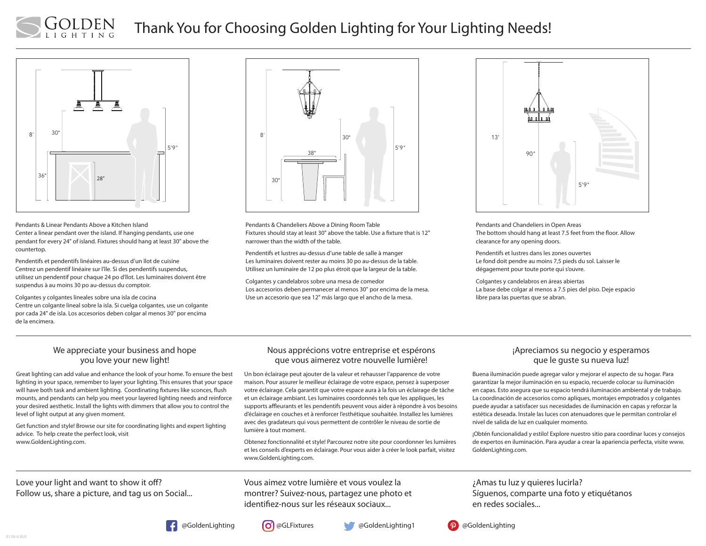# Thank You for Choosing Golden Lighting for Your Lighting Needs!



LDEN

Pendants & Linear Pendants Above a Kitchen Island Center a linear pendant over the island. If hanging pendants, use one pendant for every 24" of island. Fixtures should hang at least 30" above the countertop.

Pendentifs et pendentifs linéaires au-dessus d'un îlot de cuisine Centrez un pendentif linéaire sur l'île. Si des pendentifs suspendus, utilisez un pendentif pour chaque 24 po d'îlot. Les luminaires doivent être suspendus à au moins 30 po au-dessus du comptoir.

Colgantes y colgantes lineales sobre una isla de cocina Centre un colgante lineal sobre la isla. Si cuelga colgantes, use un colgante por cada 24" de isla. Los accesorios deben colgar al menos 30" por encima de la encimera.



Pendants & Chandeliers Above a Dining Room Table Fixtures should stay at least 30" above the table. Use a fixture that is 12" narrower than the width of the table.

Pendentifs et lustres au-dessus d'une table de salle à manger Les luminaires doivent rester au moins 30 po au-dessus de la table. Utilisez un luminaire de 12 po plus étroit que la largeur de la table.

Colgantes y candelabros sobre una mesa de comedor Los accesorios deben permanecer al menos 30" por encima de la mesa. Use un accesorio que sea 12" más largo que el ancho de la mesa.



Pendants and Chandeliers in Open Areas The bottom should hang at least 7.5 feet from the floor. Allow clearance for any opening doors.

Pendentifs et lustres dans les zones ouvertes Le fond doit pendre au moins 7,5 pieds du sol. Laisser le dégagement pour toute porte qui s'ouvre.

Colgantes y candelabros en áreas abiertas La base debe colgar al menos a 7.5 pies del piso. Deje espacio libre para las puertas que se abran.

#### We appreciate your business and hope you love your new light!

Great lighting can add value and enhance the look of your home. To ensure the best lighting in your space, remember to layer your lighting. This ensures that your space will have both task and ambient lighting. Coordinating fixtures like sconces, flush mounts, and pendants can help you meet your layered lighting needs and reinforce your desired aesthetic. Install the lights with dimmers that allow you to control the level of light output at any given moment.

Get function and style! Browse our site for coordinating lights and expert lighting advice. To help create the perfect look, visit www.GoldenLighting.com.

#### Nous apprécions votre entreprise et espérons que vous aimerez votre nouvelle lumière!

Un bon éclairage peut ajouter de la valeur et rehausser l'apparence de votre maison. Pour assurer le meilleur éclairage de votre espace, pensez à superposer votre éclairage. Cela garantit que votre espace aura à la fois un éclairage de tâche et un éclairage ambiant. Les luminaires coordonnés tels que les appliques, les supports affleurants et les pendentifs peuvent vous aider à répondre à vos besoins d'éclairage en couches et à renforcer l'esthétique souhaitée. Installez les lumières avec des gradateurs qui vous permettent de contrôler le niveau de sortie de lumière à tout moment.

Obtenez fonctionnalité et style! Parcourez notre site pour coordonner les lumières et les conseils d'experts en éclairage. Pour vous aider à créer le look parfait, visitez www.GoldenLighting.com.

### ¡Apreciamos su negocio y esperamos que le guste su nueva luz!

Buena iluminación puede agregar valor y mejorar el aspecto de su hogar. Para garantizar la mejor iluminación en su espacio, recuerde colocar su iluminación en capas. Esto asegura que su espacio tendrá iluminación ambiental y de trabajo. La coordinación de accesorios como apliques, montajes empotrados y colgantes puede ayudar a satisfacer sus necesidades de iluminación en capas y reforzar la estética deseada. Instale las luces con atenuadores que le permitan controlar el nivel de salida de luz en cualquier momento.

¡Obtén funcionalidad y estilo! Explore nuestro sitio para coordinar luces y consejos de expertos en iluminación. Para ayudar a crear la apariencia perfecta, visite www. GoldenLighting.com.

Love your light and want to show it off? Follow us, share a picture, and tag us on Social... Vous aimez votre lumière et vous voulez la montrer? Suivez-nous, partagez une photo et identifiez-nous sur les réseaux sociaux...

¿Amas tu luz y quieres lucirla? Síguenos, comparte una foto y etiquétanos en redes sociales...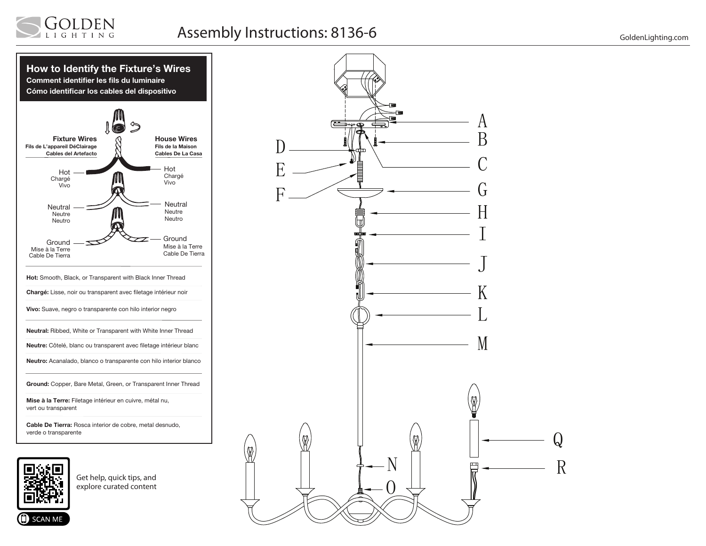

# Assembly Instructions: 8136-6 GoldenLighting.com





Get help, quick tips, and explore curated content

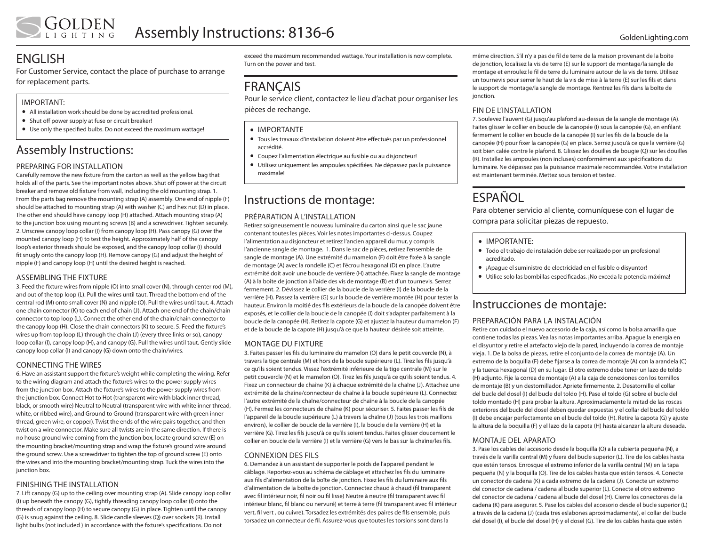## ENGLISH

For Customer Service, contact the place of purchase to arrange for replacement parts.

#### IMPORTANT:

- All installation work should be done by accredited professional.
- Shut off power supply at fuse or circuit breaker!
- Use only the specified bulbs. Do not exceed the maximum wattage!

## Assembly Instructions:

#### PREPARING FOR INSTALLATION

Carefully remove the new fixture from the carton as well as the yellow bag that holds all of the parts. See the important notes above. Shut off power at the circuit breaker and remove old fixture from wall, including the old mounting strap. 1. From the parts bag remove the mounting strap (A) assembly. One end of nipple (F) should be attached to mounting strap (A) with washer (C) and hex nut (D) in place. The other end should have canopy loop (H) attached. Attach mounting strap (A) to the junction box using mounting screws (B) and a screwdriver. Tighten securely. 2. Unscrew canopy loop collar (I) from canopy loop (H). Pass canopy (G) over the mounted canopy loop (H) to test the height. Approximately half of the canopy loop's exterior threads should be exposed, and the canopy loop collar (I) should fit snugly onto the canopy loop (H). Remove canopy (G) and adjust the height of nipple (F) and canopy loop (H) until the desired height is reached.

#### ASSEMBLING THE FIXTURE

3. Feed the fixture wires from nipple (O) into small cover (N), through center rod (M), and out of the top loop (L). Pull the wires until taut. Thread the bottom end of the central rod (M) onto small cover (N) and nipple (O). Pull the wires until taut. 4. Attach one chain connector (K) to each end of chain (J). Attach one end of the chain/chain connector to top loop (L). Connect the other end of the chain/chain connector to the canopy loop (H). Close the chain connectors (K) to secure. 5. Feed the fixture's wires up from top loop (L) through the chain (J) (every three links or so), canopy loop collar (I), canopy loop (H), and canopy (G). Pull the wires until taut. Gently slide canopy loop collar (I) and canopy (G) down onto the chain/wires.

#### CONNECTING THE WIRES

6. Have an assistant support the fixture's weight while completing the wiring. Refer to the wiring diagram and attach the fixture's wires to the power supply wires from the junction box. Attach the fixture's wires to the power supply wires from the junction box. Connect Hot to Hot (transparent wire with black inner thread, black, or smooth wire) Neutral to Neutral (transparent wire with white inner thread, white, or ribbed wire), and Ground to Ground (transparent wire with green inner thread, green wire, or copper). Twist the ends of the wire pairs together, and then twist on a wire connector. Make sure all twists are in the same direction. If there is no house ground wire coming from the junction box, locate ground screw (E) on the mounting bracket/mounting strap and wrap the fixture's ground wire around the ground screw. Use a screwdriver to tighten the top of ground screw (E) onto the wires and into the mounting bracket/mounting strap. Tuck the wires into the junction box.

#### FINISHING THE INSTALLATION

7. Lift canopy (G) up to the ceiling over mounting strap (A). Slide canopy loop collar (I) up beneath the canopy (G), tightly threading canopy loop collar (I) onto the threads of canopy loop (H) to secure canopy (G) in place. Tighten until the canopy (G) is snug against the ceiling. 8. Slide candle sleeves (Q) over sockets (R). Install light bulbs (not included ) in accordance with the fixture's specifications. Do not

exceed the maximum recommended wattage. Your installation is now complete. Turn on the power and test.

## FRANÇAIS

Pour le service client, contactez le lieu d'achat pour organiser les pièces de rechange.

#### • IMPORTANTE

- • Tous les travaux d'installation doivent être effectués par un professionnel accrédité.
- • Coupez l'alimentation électrique au fusible ou au disjoncteur!
- • Utilisez uniquement les ampoules spécifiées. Ne dépassez pas la puissance maximale!

### Instructions de montage:

### PRÉPARATION À L'INSTALLATION

Retirez soigneusement le nouveau luminaire du carton ainsi que le sac jaune contenant toutes les pièces. Voir les notes importantes ci-dessus. Coupez l'alimentation au disjoncteur et retirez l'ancien appareil du mur, y compris l'ancienne sangle de montage. 1. Dans le sac de pièces, retirez l'ensemble de sangle de montage (A). Une extrémité du mamelon (F) doit être fixée à la sangle de montage (A) avec la rondelle (C) et l'écrou hexagonal (D) en place. L'autre extrémité doit avoir une boucle de verrière (H) attachée. Fixez la sangle de montage (A) à la boîte de jonction à l'aide des vis de montage (B) et d'un tournevis. Serrez fermement. 2. Dévissez le collier de la boucle de la verrière (I) de la boucle de la verrière (H). Passez la verrière (G) sur la boucle de verrière montée (H) pour tester la hauteur. Environ la moitié des fils extérieurs de la boucle de la canopée doivent être exposés, et le collier de la boucle de la canopée (I) doit s'adapter parfaitement à la boucle de la canopée (H). Retirez la capote (G) et ajustez la hauteur du mamelon (F) et de la boucle de la capote (H) jusqu'à ce que la hauteur désirée soit atteinte.

#### MONTAGE DU FIXTURE

3. Faites passer les fils du luminaire du mamelon (O) dans le petit couvercle (N), à travers la tige centrale (M) et hors de la boucle supérieure (L). Tirez les fils jusqu'à ce qu'ils soient tendus. Vissez l'extrémité inférieure de la tige centrale (M) sur le petit couvercle (N) et le mamelon (O). Tirez les fils jusqu'à ce qu'ils soient tendus. 4. Fixez un connecteur de chaîne (K) à chaque extrémité de la chaîne (J). Attachez une extrémité de la chaîne/connecteur de chaîne à la boucle supérieure (L). Connectez l'autre extrémité de la chaîne/connecteur de chaîne à la boucle de la canopée (H). Fermez les connecteurs de chaîne (K) pour sécuriser. 5. Faites passer les fils de l'appareil de la boucle supérieure (L) à travers la chaîne (J) (tous les trois maillons environ), le collier de boucle de la verrière (I), la boucle de la verrière (H) et la verrière (G). Tirez les fils jusqu'à ce qu'ils soient tendus. Faites glisser doucement le collier en boucle de la verrière (I) et la verrière (G) vers le bas sur la chaîne/les fils.

#### CONNEXION DES FILS

6. Demandez à un assistant de supporter le poids de l'appareil pendant le câblage. Reportez-vous au schéma de câblage et attachez les fils du luminaire aux fils d'alimentation de la boîte de jonction. Fixez les fils du luminaire aux fils d'alimentation de la boîte de jonction. Connectez chaud à chaud (fil transparent avec fil intérieur noir, fil noir ou fil lisse) Neutre à neutre (fil transparent avec fil intérieur blanc, fil blanc ou nervuré) et terre à terre (fil transparent avec fil intérieur vert, fil vert , ou cuivre). Torsadez les extrémités des paires de fils ensemble, puis torsadez un connecteur de fil. Assurez-vous que toutes les torsions sont dans la

même direction. S'il n'y a pas de fil de terre de la maison provenant de la boîte de jonction, localisez la vis de terre (E) sur le support de montage/la sangle de montage et enroulez le fil de terre du luminaire autour de la vis de terre. Utilisez un tournevis pour serrer le haut de la vis de mise à la terre (E) sur les fils et dans le support de montage/la sangle de montage. Rentrez les fils dans la boîte de jonction.

#### FIN DE L'INSTALLATION

7. Soulevez l'auvent (G) jusqu'au plafond au-dessus de la sangle de montage (A). Faites glisser le collier en boucle de la canopée (I) sous la canopée (G), en enfilant fermement le collier en boucle de la canopée (I) sur les fils de la boucle de la canopée (H) pour fixer la canopée (G) en place. Serrez jusqu'à ce que la verrière (G) soit bien calée contre le plafond. 8. Glissez les douilles de bougie (Q) sur les douilles (R). Installez les ampoules (non incluses) conformément aux spécifications du luminaire. Ne dépassez pas la puissance maximale recommandée. Votre installation est maintenant terminée. Mettez sous tension et testez.

## **ESPAÑOL**

Para obtener servicio al cliente, comuníquese con el lugar de compra para solicitar piezas de repuesto.

- IMPORTANTE:
- • Todo el trabajo de instalación debe ser realizado por un profesional acreditado.
- • ¡Apague el suministro de electricidad en el fusible o disyuntor!
- • Utilice solo las bombillas especificadas. ¡No exceda la potencia máxima!

### Instrucciones de montaje:

#### PREPARACIÓN PARA LA INSTALACIÓN

Retire con cuidado el nuevo accesorio de la caja, así como la bolsa amarilla que contiene todas las piezas. Vea las notas importantes arriba. Apague la energía en el disyuntor y retire el artefacto viejo de la pared, incluyendo la correa de montaje vieja. 1. De la bolsa de piezas, retire el conjunto de la correa de montaje (A). Un extremo de la boquilla (F) debe fijarse a la correa de montaje (A) con la arandela (C) y la tuerca hexagonal (D) en su lugar. El otro extremo debe tener un lazo de toldo (H) adjunto. Fije la correa de montaje (A) a la caja de conexiones con los tornillos de montaje (B) y un destornillador. Apriete firmemente. 2. Desatornille el collar del bucle del dosel (I) del bucle del toldo (H). Pase el toldo (G) sobre el bucle del toldo montado (H) para probar la altura. Aproximadamente la mitad de las roscas exteriores del bucle del dosel deben quedar expuestas y el collar del bucle del toldo (I) debe encajar perfectamente en el bucle del toldo (H). Retire la capota (G) y ajuste la altura de la boquilla (F) y el lazo de la capota (H) hasta alcanzar la altura deseada.

#### MONTAJE DEL APARATO

3. Pase los cables del accesorio desde la boquilla (O) a la cubierta pequeña (N), a través de la varilla central (M) y fuera del bucle superior (L). Tire de los cables hasta que estén tensos. Enrosque el extremo inferior de la varilla central (M) en la tapa pequeña (N) y la boquilla (O). Tire de los cables hasta que estén tensos. 4. Conecte un conector de cadena (K) a cada extremo de la cadena (J). Conecte un extremo del conector de cadena / cadena al bucle superior (L). Conecte el otro extremo del conector de cadena / cadena al bucle del dosel (H). Cierre los conectores de la cadena (K) para asegurar. 5. Pase los cables del accesorio desde el bucle superior (L) a través de la cadena (J) (cada tres eslabones aproximadamente), el collar del bucle del dosel (I), el bucle del dosel (H) y el dosel (G). Tire de los cables hasta que estén